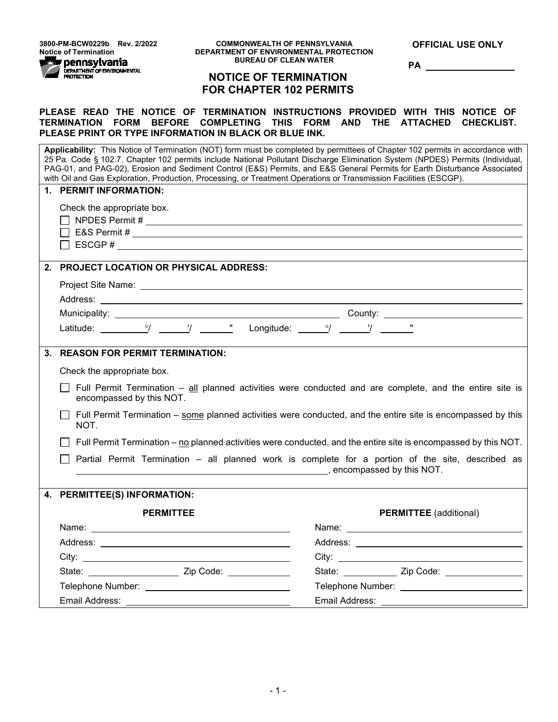**3800-PM-BCW0229b Rev. 2/2022**



**OFFICIAL USE ONLY**

**PA** 

# **NOTICE OF TERMINATION FOR CHAPTER 102 PERMITS**

### **PLEASE READ THE NOTICE OF TERMINATION INSTRUCTIONS PROVIDED WITH THIS NOTICE OF TERMINATION FORM BEFORE COMPLETING THIS FORM AND THE ATTACHED CHECKLIST. PLEASE PRINT OR TYPE INFORMATION IN BLACK OR BLUE INK.**

|         | Applicability: This Notice of Termination (NOT) form must be completed by permittees of Chapter 102 permits in accordance with<br>25 Pa. Code § 102.7. Chapter 102 permits include National Pollutant Discharge Elimination System (NPDES) Permits (Individual,<br>PAG-01, and PAG-02), Erosion and Sediment Control (E&S) Permits, and E&S General Permits for Earth Disturbance Associated<br>with Oil and Gas Exploration, Production, Processing, or Treatment Operations or Transmission Facilities (ESCGP). |                                                                                                                                                                                                                               |  |  |  |  |  |
|---------|-------------------------------------------------------------------------------------------------------------------------------------------------------------------------------------------------------------------------------------------------------------------------------------------------------------------------------------------------------------------------------------------------------------------------------------------------------------------------------------------------------------------|-------------------------------------------------------------------------------------------------------------------------------------------------------------------------------------------------------------------------------|--|--|--|--|--|
|         | 1. PERMIT INFORMATION:                                                                                                                                                                                                                                                                                                                                                                                                                                                                                            |                                                                                                                                                                                                                               |  |  |  |  |  |
|         | Check the appropriate box.                                                                                                                                                                                                                                                                                                                                                                                                                                                                                        |                                                                                                                                                                                                                               |  |  |  |  |  |
|         |                                                                                                                                                                                                                                                                                                                                                                                                                                                                                                                   |                                                                                                                                                                                                                               |  |  |  |  |  |
|         |                                                                                                                                                                                                                                                                                                                                                                                                                                                                                                                   |                                                                                                                                                                                                                               |  |  |  |  |  |
|         | $\Box$ ESCGP #                                                                                                                                                                                                                                                                                                                                                                                                                                                                                                    |                                                                                                                                                                                                                               |  |  |  |  |  |
| $2_{-}$ | <b>PROJECT LOCATION OR PHYSICAL ADDRESS:</b>                                                                                                                                                                                                                                                                                                                                                                                                                                                                      |                                                                                                                                                                                                                               |  |  |  |  |  |
|         |                                                                                                                                                                                                                                                                                                                                                                                                                                                                                                                   |                                                                                                                                                                                                                               |  |  |  |  |  |
|         |                                                                                                                                                                                                                                                                                                                                                                                                                                                                                                                   |                                                                                                                                                                                                                               |  |  |  |  |  |
|         |                                                                                                                                                                                                                                                                                                                                                                                                                                                                                                                   |                                                                                                                                                                                                                               |  |  |  |  |  |
|         |                                                                                                                                                                                                                                                                                                                                                                                                                                                                                                                   |                                                                                                                                                                                                                               |  |  |  |  |  |
|         |                                                                                                                                                                                                                                                                                                                                                                                                                                                                                                                   |                                                                                                                                                                                                                               |  |  |  |  |  |
|         | 3. REASON FOR PERMIT TERMINATION:                                                                                                                                                                                                                                                                                                                                                                                                                                                                                 |                                                                                                                                                                                                                               |  |  |  |  |  |
|         | Check the appropriate box.                                                                                                                                                                                                                                                                                                                                                                                                                                                                                        |                                                                                                                                                                                                                               |  |  |  |  |  |
|         | Full Permit Termination – all planned activities were conducted and are complete, and the entire site is<br>encompassed by this NOT.                                                                                                                                                                                                                                                                                                                                                                              |                                                                                                                                                                                                                               |  |  |  |  |  |
|         | Full Permit Termination – some planned activities were conducted, and the entire site is encompassed by this<br>NOT.                                                                                                                                                                                                                                                                                                                                                                                              |                                                                                                                                                                                                                               |  |  |  |  |  |
|         | Full Permit Termination – no planned activities were conducted, and the entire site is encompassed by this NOT.                                                                                                                                                                                                                                                                                                                                                                                                   |                                                                                                                                                                                                                               |  |  |  |  |  |
|         | Partial Permit Termination - all planned work is complete for a portion of the site, described as                                                                                                                                                                                                                                                                                                                                                                                                                 |                                                                                                                                                                                                                               |  |  |  |  |  |
|         |                                                                                                                                                                                                                                                                                                                                                                                                                                                                                                                   |                                                                                                                                                                                                                               |  |  |  |  |  |
|         | 4. PERMITTEE(S) INFORMATION:                                                                                                                                                                                                                                                                                                                                                                                                                                                                                      |                                                                                                                                                                                                                               |  |  |  |  |  |
|         | <b>PERMITTEE</b>                                                                                                                                                                                                                                                                                                                                                                                                                                                                                                  | <b>PERMITTEE</b> (additional)                                                                                                                                                                                                 |  |  |  |  |  |
|         |                                                                                                                                                                                                                                                                                                                                                                                                                                                                                                                   |                                                                                                                                                                                                                               |  |  |  |  |  |
|         |                                                                                                                                                                                                                                                                                                                                                                                                                                                                                                                   |                                                                                                                                                                                                                               |  |  |  |  |  |
|         | City: City: City: City: City: City: City: City: City: City: City: City: City: City: City: City: City: City: City: City: City: City: City: City: City: City: City: City: City: City: City: City: City: City: City: City: City:                                                                                                                                                                                                                                                                                     | City: City: City: City: City: City: City: City: City: City: City: City: City: City: City: City: City: City: City: City: City: City: City: City: City: City: City: City: City: City: City: City: City: City: City: City: City: |  |  |  |  |  |
|         |                                                                                                                                                                                                                                                                                                                                                                                                                                                                                                                   | State: Zip Code:                                                                                                                                                                                                              |  |  |  |  |  |
|         |                                                                                                                                                                                                                                                                                                                                                                                                                                                                                                                   |                                                                                                                                                                                                                               |  |  |  |  |  |
|         |                                                                                                                                                                                                                                                                                                                                                                                                                                                                                                                   |                                                                                                                                                                                                                               |  |  |  |  |  |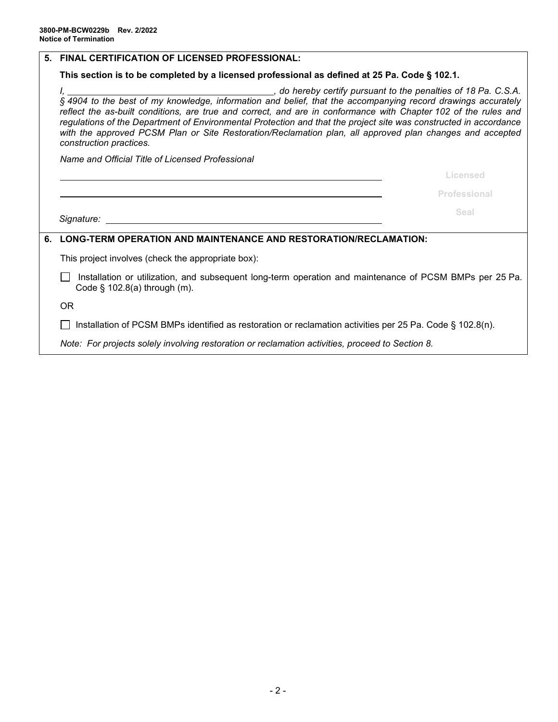|                                                                                               | 5. FINAL CERTIFICATION OF LICENSED PROFESSIONAL:                                                                                                                                                                                                                                                                                                                            |              |  |  |  |  |
|-----------------------------------------------------------------------------------------------|-----------------------------------------------------------------------------------------------------------------------------------------------------------------------------------------------------------------------------------------------------------------------------------------------------------------------------------------------------------------------------|--------------|--|--|--|--|
| This section is to be completed by a licensed professional as defined at 25 Pa. Code § 102.1. |                                                                                                                                                                                                                                                                                                                                                                             |              |  |  |  |  |
|                                                                                               | reflect the as-built conditions, are true and correct, and are in conformance with Chapter 102 of the rules and<br>regulations of the Department of Environmental Protection and that the project site was constructed in accordance<br>with the approved PCSM Plan or Site Restoration/Reclamation plan, all approved plan changes and accepted<br>construction practices. |              |  |  |  |  |
|                                                                                               | Name and Official Title of Licensed Professional                                                                                                                                                                                                                                                                                                                            |              |  |  |  |  |
|                                                                                               |                                                                                                                                                                                                                                                                                                                                                                             | Licensed     |  |  |  |  |
|                                                                                               |                                                                                                                                                                                                                                                                                                                                                                             | Professional |  |  |  |  |
|                                                                                               | Signature: <u>state and the set of the set of the set of the set of the set of the set of the set of the set of the set of the set of the set of the set of the set of the set of the set of the set of the set of the set of th</u>                                                                                                                                        | Seal         |  |  |  |  |
|                                                                                               |                                                                                                                                                                                                                                                                                                                                                                             |              |  |  |  |  |
| 6.                                                                                            | <b>LONG-TERM OPERATION AND MAINTENANCE AND RESTORATION/RECLAMATION:</b>                                                                                                                                                                                                                                                                                                     |              |  |  |  |  |
|                                                                                               | This project involves (check the appropriate box):                                                                                                                                                                                                                                                                                                                          |              |  |  |  |  |
|                                                                                               | Installation or utilization, and subsequent long-term operation and maintenance of PCSM BMPs per 25 Pa.<br>Code $\S$ 102.8(a) through (m).                                                                                                                                                                                                                                  |              |  |  |  |  |
|                                                                                               | <b>OR</b>                                                                                                                                                                                                                                                                                                                                                                   |              |  |  |  |  |
|                                                                                               | Installation of PCSM BMPs identified as restoration or reclamation activities per 25 Pa. Code § 102.8(n).                                                                                                                                                                                                                                                                   |              |  |  |  |  |
|                                                                                               | Note: For projects solely involving restoration or reclamation activities, proceed to Section 8.                                                                                                                                                                                                                                                                            |              |  |  |  |  |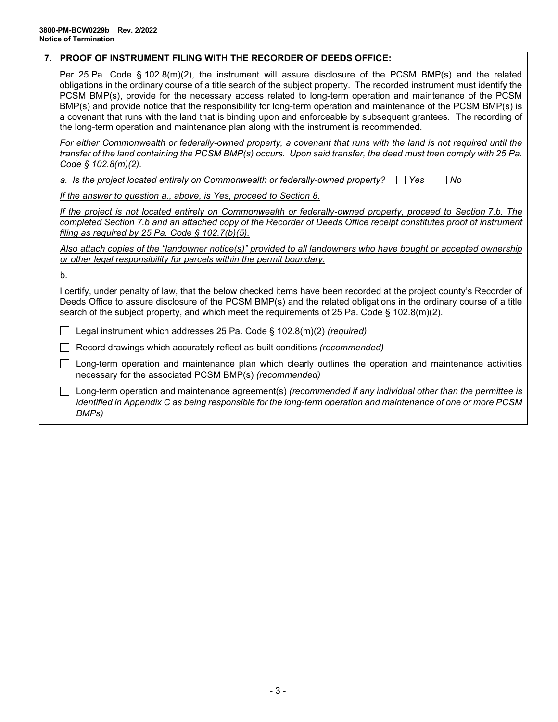### **7. PROOF OF INSTRUMENT FILING WITH THE RECORDER OF DEEDS OFFICE:**

Per 25 Pa. Code § 102.8(m)(2), the instrument will assure disclosure of the PCSM BMP(s) and the related obligations in the ordinary course of a title search of the subject property. The recorded instrument must identify the PCSM BMP(s), provide for the necessary access related to long-term operation and maintenance of the PCSM BMP(s) and provide notice that the responsibility for long-term operation and maintenance of the PCSM BMP(s) is a covenant that runs with the land that is binding upon and enforceable by subsequent grantees. The recording of the long-term operation and maintenance plan along with the instrument is recommended.

For either Commonwealth or federally-owned property, a covenant that runs with the land is not required until the *transfer of the land containing the PCSM BMP(s) occurs. Upon said transfer, the deed must then comply with 25 Pa. Code § 102.8(m)(2).*

a. Is the project located entirely on Commonwealth or federally-owned property?  $\Box$  Yes  $\Box$  No

*If the answer to question a., above, is Yes, proceed to Section 8.*

*If the project is not located entirely on Commonwealth or federally-owned property, proceed to Section 7.b. The completed Section 7.b and an attached copy of the Recorder of Deeds Office receipt constitutes proof of instrument filing as required by 25 Pa. Code § 102.7(b)(5).*

*Also attach copies of the "landowner notice(s)" provided to all landowners who have bought or accepted ownership or other legal responsibility for parcels within the permit boundary.*

b.

I certify, under penalty of law, that the below checked items have been recorded at the project county's Recorder of Deeds Office to assure disclosure of the PCSM BMP(s) and the related obligations in the ordinary course of a title search of the subject property, and which meet the requirements of 25 Pa. Code § 102.8(m)(2).

Legal instrument which addresses 25 Pa. Code § 102.8(m)(2) *(required)*

Record drawings which accurately reflect as-built conditions *(recommended)*

 $\Box$  Long-term operation and maintenance plan which clearly outlines the operation and maintenance activities necessary for the associated PCSM BMP(s) *(recommended)*

Long-term operation and maintenance agreement(s) *(recommended if any individual other than the permittee is identified in Appendix C as being responsible for the long-term operation and maintenance of one or more PCSM BMPs)*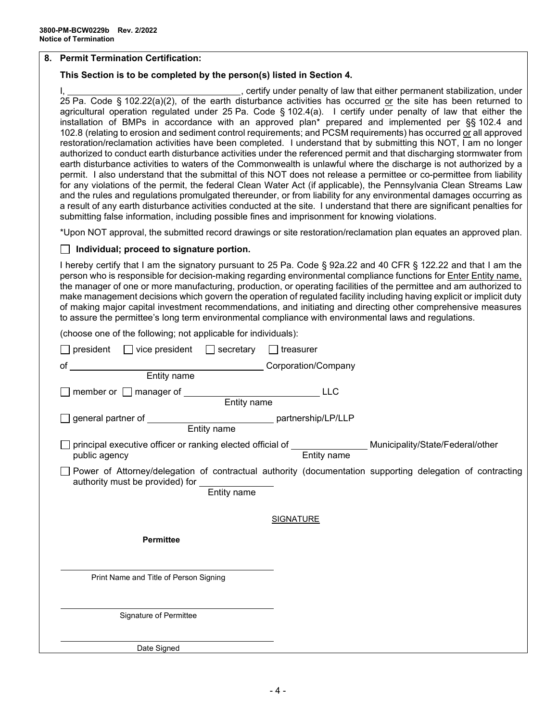### **8. Permit Termination Certification:**

### **This Section is to be completed by the person(s) listed in Section 4.**

I,  $\frac{1}{2}$  , certify under penalty of law that either permanent stabilization, under 25 Pa. Code § 102.22(a)(2), of the earth disturbance activities has occurred or the site has been returned to agricultural operation regulated under 25 Pa. Code § 102.4(a). I certify under penalty of law that either the installation of BMPs in accordance with an approved plan\* prepared and implemented per §§ 102.4 and 102.8 (relating to erosion and sediment control requirements; and PCSM requirements) has occurred or all approved restoration/reclamation activities have been completed. I understand that by submitting this NOT, I am no longer authorized to conduct earth disturbance activities under the referenced permit and that discharging stormwater from earth disturbance activities to waters of the Commonwealth is unlawful where the discharge is not authorized by a permit. I also understand that the submittal of this NOT does not release a permittee or co-permittee from liability for any violations of the permit, the federal Clean Water Act (if applicable), the Pennsylvania Clean Streams Law and the rules and regulations promulgated thereunder, or from liability for any environmental damages occurring as a result of any earth disturbance activities conducted at the site. I understand that there are significant penalties for submitting false information, including possible fines and imprisonment for knowing violations.

\*Upon NOT approval, the submitted record drawings or site restoration/reclamation plan equates an approved plan.

#### **Individual; proceed to signature portion.**

I hereby certify that I am the signatory pursuant to 25 Pa. Code § 92a.22 and 40 CFR § 122.22 and that I am the person who is responsible for decision-making regarding environmental compliance functions for **Enter Entity name**, the manager of one or more manufacturing, production, or operating facilities of the permittee and am authorized to make management decisions which govern the operation of regulated facility including having explicit or implicit duty of making major capital investment recommendations, and initiating and directing other comprehensive measures to assure the permittee's long term environmental compliance with environmental laws and regulations.

(choose one of the following; not applicable for individuals):

| $president$ $\Box$ vice president $\Box$ secretary<br>$\vert$ treasurer                                                                                                      |
|------------------------------------------------------------------------------------------------------------------------------------------------------------------------------|
| Entity name<br>Entity name<br>Entity name<br>of                                                                                                                              |
|                                                                                                                                                                              |
| <b>LLC</b>                                                                                                                                                                   |
| general partner of ________________________________ partnership/LP/LLP<br>Entity name                                                                                        |
| principal executive officer or ranking elected official of __________________ Municipality/State/Federal/other<br>Entity name<br>public agency                               |
| Power of Attorney/delegation of contractual authority (documentation supporting delegation of contracting<br>authority must be provided) for ________________<br>Entity name |
| <b>SIGNATURE</b>                                                                                                                                                             |
| <b>Permittee</b>                                                                                                                                                             |
| Print Name and Title of Person Signing                                                                                                                                       |
| Signature of Permittee                                                                                                                                                       |
| Date Signed                                                                                                                                                                  |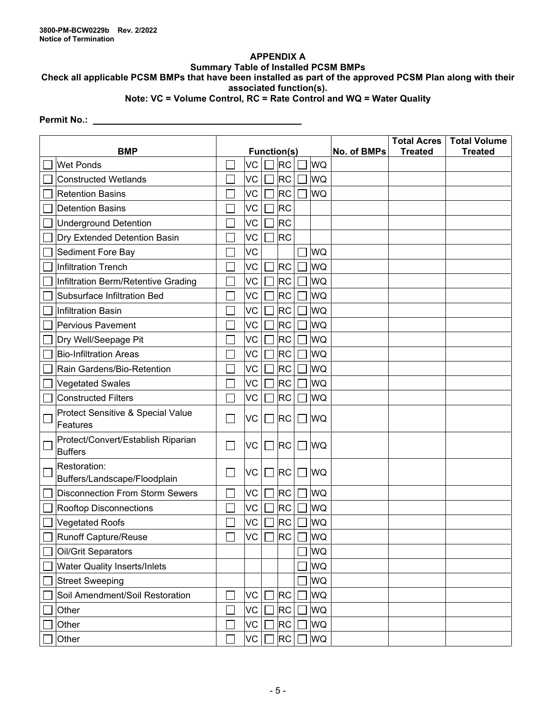### **APPENDIX A Summary Table of Installed PCSM BMPs**

# **Check all applicable PCSM BMPs that have been installed as part of the approved PCSM Plan along with their associated function(s).**

# **Note: VC = Volume Control, RC = Rate Control and WQ = Water Quality**

## **Permit No.:**

| <b>BMP</b> |                                                      |   | <b>Function(s)</b> |  |           |        |           | No. of BMPs | <b>Total Acres</b><br><b>Treated</b> | <b>Total Volume</b><br><b>Treated</b> |
|------------|------------------------------------------------------|---|--------------------|--|-----------|--------|-----------|-------------|--------------------------------------|---------------------------------------|
|            | <b>Wet Ponds</b>                                     |   | VC                 |  | <b>RC</b> |        | WQ        |             |                                      |                                       |
|            | <b>Constructed Wetlands</b>                          |   | VC                 |  | RC        |        | <b>WQ</b> |             |                                      |                                       |
|            | <b>Retention Basins</b>                              |   | VC                 |  | <b>RC</b> |        | <b>WQ</b> |             |                                      |                                       |
|            | <b>Detention Basins</b>                              |   | VC                 |  | <b>RC</b> |        |           |             |                                      |                                       |
|            | <b>Underground Detention</b>                         |   | VC                 |  | <b>RC</b> |        |           |             |                                      |                                       |
|            | Dry Extended Detention Basin                         |   | VC                 |  | <b>RC</b> |        |           |             |                                      |                                       |
|            | Sediment Fore Bay                                    |   | VC                 |  |           |        | <b>WQ</b> |             |                                      |                                       |
|            | <b>Infiltration Trench</b>                           |   | VC                 |  | <b>RC</b> |        | WQ        |             |                                      |                                       |
|            | Infiltration Berm/Retentive Grading                  |   | VC                 |  | <b>RC</b> |        | WQ        |             |                                      |                                       |
|            | Subsurface Infiltration Bed                          |   | VC                 |  | <b>RC</b> |        | WQ        |             |                                      |                                       |
|            | <b>Infiltration Basin</b>                            |   | VC                 |  | <b>RC</b> |        | WQ        |             |                                      |                                       |
|            | <b>Pervious Pavement</b>                             |   | VC                 |  | <b>RC</b> |        | WQ        |             |                                      |                                       |
|            | Dry Well/Seepage Pit                                 |   | VC                 |  | <b>RC</b> |        | WQ        |             |                                      |                                       |
|            | <b>Bio-Infiltration Areas</b>                        |   | VC                 |  | <b>RC</b> |        | WQ        |             |                                      |                                       |
|            | Rain Gardens/Bio-Retention                           |   | VC                 |  | <b>RC</b> |        | WQ        |             |                                      |                                       |
|            | <b>Vegetated Swales</b>                              |   | <b>VC</b>          |  | <b>RC</b> |        | WQ        |             |                                      |                                       |
|            | <b>Constructed Filters</b>                           |   | VC                 |  | <b>RC</b> |        | WQ        |             |                                      |                                       |
|            | Protect Sensitive & Special Value<br>Features        |   | <b>VC</b>          |  | <b>RC</b> | $\Box$ | <b>WQ</b> |             |                                      |                                       |
|            | Protect/Convert/Establish Riparian<br><b>Buffers</b> | × | VC                 |  | <b>RC</b> | $\Box$ | <b>WQ</b> |             |                                      |                                       |
|            | Restoration:<br>Buffers/Landscape/Floodplain         |   | VC                 |  | <b>RC</b> |        | <b>WQ</b> |             |                                      |                                       |
|            | <b>Disconnection From Storm Sewers</b>               |   | VC                 |  | <b>RC</b> |        | <b>WQ</b> |             |                                      |                                       |
|            | <b>Rooftop Disconnections</b>                        |   | VC                 |  | <b>RC</b> |        | WQ        |             |                                      |                                       |
|            | <b>Vegetated Roofs</b>                               |   | VC                 |  | <b>RC</b> |        | WQ        |             |                                      |                                       |
|            | <b>Runoff Capture/Reuse</b>                          |   | VC                 |  | <b>RC</b> |        | <b>WQ</b> |             |                                      |                                       |
|            | Oil/Grit Separators                                  |   |                    |  |           |        | WQ        |             |                                      |                                       |
|            | <b>Water Quality Inserts/Inlets</b>                  |   |                    |  |           |        | WQ        |             |                                      |                                       |
|            | <b>Street Sweeping</b>                               |   |                    |  |           |        | WQ        |             |                                      |                                       |
|            | Soil Amendment/Soil Restoration                      |   | VC                 |  | <b>RC</b> |        | WQ        |             |                                      |                                       |
|            | Other                                                |   | VC                 |  | <b>RC</b> |        | WQ        |             |                                      |                                       |
|            | Other                                                |   | VC                 |  | <b>RC</b> |        | WQ        |             |                                      |                                       |
|            | Other                                                |   | VC                 |  | <b>RC</b> |        | WQ        |             |                                      |                                       |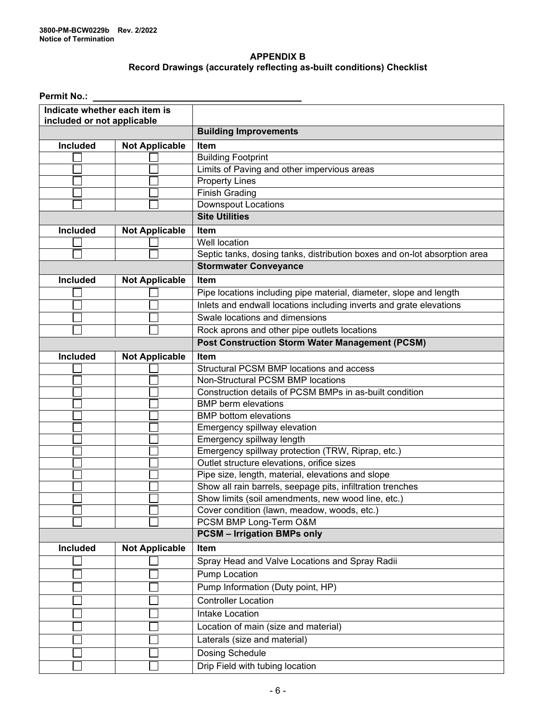### **APPENDIX B Record Drawings (accurately reflecting as-built conditions) Checklist**

**Permit No.:**

| Indicate whether each item is     |                       |                                                                           |  |  |  |  |
|-----------------------------------|-----------------------|---------------------------------------------------------------------------|--|--|--|--|
| included or not applicable        |                       | <b>Building Improvements</b>                                              |  |  |  |  |
| Included<br><b>Not Applicable</b> |                       | Item                                                                      |  |  |  |  |
|                                   |                       | <b>Building Footprint</b>                                                 |  |  |  |  |
|                                   |                       | Limits of Paving and other impervious areas                               |  |  |  |  |
|                                   |                       | <b>Property Lines</b>                                                     |  |  |  |  |
|                                   |                       | <b>Finish Grading</b>                                                     |  |  |  |  |
|                                   |                       | <b>Downspout Locations</b>                                                |  |  |  |  |
|                                   |                       | <b>Site Utilities</b>                                                     |  |  |  |  |
| <b>Included</b>                   | <b>Not Applicable</b> | <b>Item</b>                                                               |  |  |  |  |
|                                   |                       | Well location                                                             |  |  |  |  |
|                                   |                       | Septic tanks, dosing tanks, distribution boxes and on-lot absorption area |  |  |  |  |
|                                   |                       | <b>Stormwater Conveyance</b>                                              |  |  |  |  |
| Included                          | <b>Not Applicable</b> | Item                                                                      |  |  |  |  |
|                                   |                       | Pipe locations including pipe material, diameter, slope and length        |  |  |  |  |
|                                   |                       | Inlets and endwall locations including inverts and grate elevations       |  |  |  |  |
|                                   |                       | Swale locations and dimensions                                            |  |  |  |  |
|                                   |                       | Rock aprons and other pipe outlets locations                              |  |  |  |  |
|                                   |                       | <b>Post Construction Storm Water Management (PCSM)</b>                    |  |  |  |  |
| Included                          | <b>Not Applicable</b> | Item                                                                      |  |  |  |  |
|                                   |                       | Structural PCSM BMP locations and access                                  |  |  |  |  |
|                                   |                       | Non-Structural PCSM BMP locations                                         |  |  |  |  |
|                                   |                       | Construction details of PCSM BMPs in as-built condition                   |  |  |  |  |
|                                   |                       | <b>BMP</b> berm elevations                                                |  |  |  |  |
|                                   |                       | <b>BMP</b> bottom elevations                                              |  |  |  |  |
|                                   |                       | Emergency spillway elevation                                              |  |  |  |  |
|                                   |                       | Emergency spillway length                                                 |  |  |  |  |
|                                   |                       | Emergency spillway protection (TRW, Riprap, etc.)                         |  |  |  |  |
|                                   |                       | Outlet structure elevations, orifice sizes                                |  |  |  |  |
|                                   |                       | Pipe size, length, material, elevations and slope                         |  |  |  |  |
|                                   |                       | Show all rain barrels, seepage pits, infiltration trenches                |  |  |  |  |
|                                   |                       | Show limits (soil amendments, new wood line, etc.)                        |  |  |  |  |
|                                   |                       | Cover condition (lawn, meadow, woods, etc.)                               |  |  |  |  |
|                                   |                       | PCSM BMP Long-Term O&M                                                    |  |  |  |  |
|                                   |                       | <b>PCSM - Irrigation BMPs only</b>                                        |  |  |  |  |
| Included                          | <b>Not Applicable</b> | Item                                                                      |  |  |  |  |
|                                   |                       | Spray Head and Valve Locations and Spray Radii                            |  |  |  |  |
|                                   |                       | Pump Location                                                             |  |  |  |  |
|                                   |                       | Pump Information (Duty point, HP)                                         |  |  |  |  |
|                                   |                       | <b>Controller Location</b>                                                |  |  |  |  |
|                                   |                       | Intake Location                                                           |  |  |  |  |
|                                   |                       | Location of main (size and material)                                      |  |  |  |  |
|                                   |                       | Laterals (size and material)                                              |  |  |  |  |
|                                   |                       | <b>Dosing Schedule</b>                                                    |  |  |  |  |
|                                   |                       | Drip Field with tubing location                                           |  |  |  |  |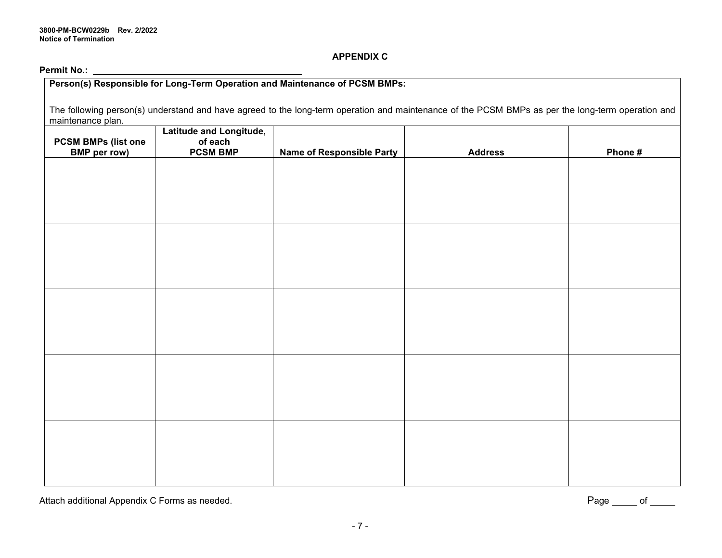### **APPENDIX C**

**Permit No.:**

| Person(s) Responsible for Long-Term Operation and Maintenance of PCSM BMPs:                                                                                            |                                    |                                  |                |         |  |  |
|------------------------------------------------------------------------------------------------------------------------------------------------------------------------|------------------------------------|----------------------------------|----------------|---------|--|--|
| The following person(s) understand and have agreed to the long-term operation and maintenance of the PCSM BMPs as per the long-term operation and<br>maintenance plan. |                                    |                                  |                |         |  |  |
| <b>PCSM BMPs (list one</b>                                                                                                                                             | Latitude and Longitude,<br>of each |                                  |                |         |  |  |
| <b>BMP</b> per row)                                                                                                                                                    | <b>PCSM BMP</b>                    | <b>Name of Responsible Party</b> | <b>Address</b> | Phone # |  |  |
|                                                                                                                                                                        |                                    |                                  |                |         |  |  |
|                                                                                                                                                                        |                                    |                                  |                |         |  |  |
|                                                                                                                                                                        |                                    |                                  |                |         |  |  |
|                                                                                                                                                                        |                                    |                                  |                |         |  |  |
|                                                                                                                                                                        |                                    |                                  |                |         |  |  |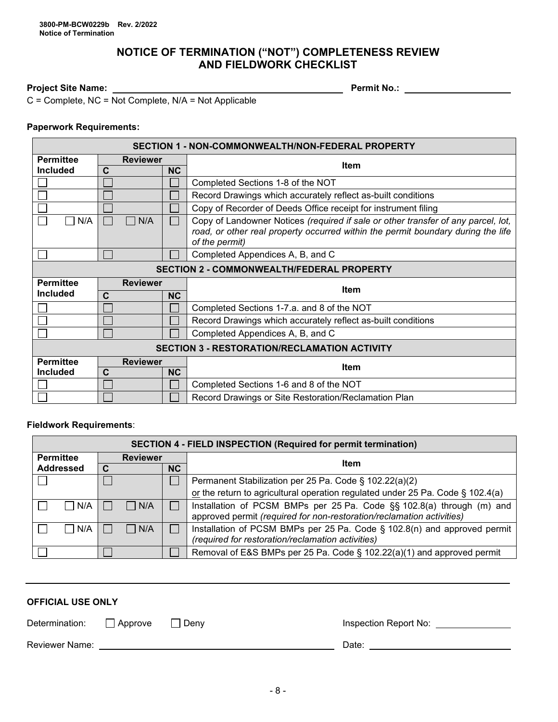## **NOTICE OF TERMINATION ("NOT") COMPLETENESS REVIEW AND FIELDWORK CHECKLIST**

## **Project Site Name: Permit No.:**

 $C =$  Complete, NC = Not Complete, N/A = Not Applicable

### **Paperwork Requirements:**

| SECTION 1 - NON-COMMONWEALTH/NON-FEDERAL PROPERTY   |                          |    |                                                                                                                                                                                         |  |  |  |  |
|-----------------------------------------------------|--------------------------|----|-----------------------------------------------------------------------------------------------------------------------------------------------------------------------------------------|--|--|--|--|
| <b>Permittee</b>                                    | <b>Reviewer</b>          |    | <b>Item</b>                                                                                                                                                                             |  |  |  |  |
| <b>Included</b>                                     | $\mathbf c$<br><b>NC</b> |    |                                                                                                                                                                                         |  |  |  |  |
|                                                     |                          |    | Completed Sections 1-8 of the NOT                                                                                                                                                       |  |  |  |  |
|                                                     |                          |    | Record Drawings which accurately reflect as-built conditions                                                                                                                            |  |  |  |  |
|                                                     |                          |    | Copy of Recorder of Deeds Office receipt for instrument filing                                                                                                                          |  |  |  |  |
| N/A<br>N/A                                          |                          |    | Copy of Landowner Notices (required if sale or other transfer of any parcel, lot,<br>road, or other real property occurred within the permit boundary during the life<br>of the permit) |  |  |  |  |
|                                                     |                          |    | Completed Appendices A, B, and C                                                                                                                                                        |  |  |  |  |
|                                                     |                          |    | <b>SECTION 2 - COMMONWEALTH/FEDERAL PROPERTY</b>                                                                                                                                        |  |  |  |  |
| <b>Permittee</b>                                    | <b>Reviewer</b>          |    |                                                                                                                                                                                         |  |  |  |  |
| <b>Included</b>                                     | <b>NC</b><br>$\mathbf C$ |    | <b>Item</b>                                                                                                                                                                             |  |  |  |  |
|                                                     |                          |    | Completed Sections 1-7.a. and 8 of the NOT                                                                                                                                              |  |  |  |  |
|                                                     |                          |    | Record Drawings which accurately reflect as-built conditions                                                                                                                            |  |  |  |  |
|                                                     |                          |    | Completed Appendices A, B, and C                                                                                                                                                        |  |  |  |  |
| <b>SECTION 3 - RESTORATION/RECLAMATION ACTIVITY</b> |                          |    |                                                                                                                                                                                         |  |  |  |  |
| <b>Permittee</b>                                    | <b>Reviewer</b>          |    | <b>Item</b>                                                                                                                                                                             |  |  |  |  |
| <b>Included</b>                                     | $\mathbf c$              | NC |                                                                                                                                                                                         |  |  |  |  |
|                                                     |                          |    | Completed Sections 1-6 and 8 of the NOT                                                                                                                                                 |  |  |  |  |
|                                                     |                          |    | Record Drawings or Site Restoration/Reclamation Plan                                                                                                                                    |  |  |  |  |

### **Fieldwork Requirements**:

| <b>SECTION 4 - FIELD INSPECTION (Required for permit termination)</b> |                 |              |                                                                                                                                                |  |  |  |  |
|-----------------------------------------------------------------------|-----------------|--------------|------------------------------------------------------------------------------------------------------------------------------------------------|--|--|--|--|
| <b>Permittee</b>                                                      | <b>Reviewer</b> |              | Item                                                                                                                                           |  |  |  |  |
| <b>Addressed</b>                                                      | <b>NC</b>       |              |                                                                                                                                                |  |  |  |  |
|                                                                       |                 |              | Permanent Stabilization per 25 Pa. Code § 102.22(a)(2)                                                                                         |  |  |  |  |
|                                                                       |                 |              | or the return to agricultural operation regulated under 25 Pa. Code $\S$ 102.4(a)                                                              |  |  |  |  |
| I N/A                                                                 | N/A             | $\mathsf{L}$ | Installation of PCSM BMPs per 25 Pa. Code §§ 102.8(a) through (m) and<br>approved permit (required for non-restoration/reclamation activities) |  |  |  |  |
| N/A                                                                   | N/A             | $\mathsf{L}$ | Installation of PCSM BMPs per 25 Pa. Code § 102.8(n) and approved permit<br>(required for restoration/reclamation activities)                  |  |  |  |  |
|                                                                       |                 |              | Removal of E&S BMPs per 25 Pa. Code § 102.22(a)(1) and approved permit                                                                         |  |  |  |  |

### **OFFICIAL USE ONLY**

| Determination:<br>Denv<br>    Approve | Inspection Report No: |
|---------------------------------------|-----------------------|
| Reviewer Name:<br>Date:               |                       |